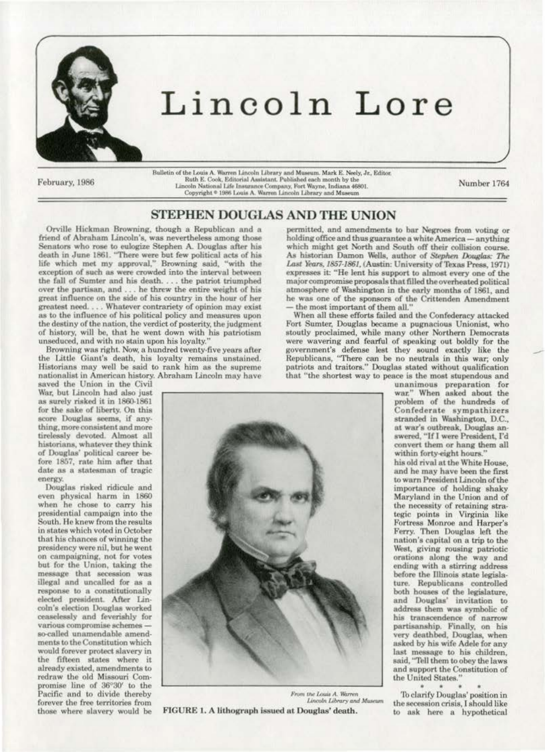

## Lincoln Lore

February, 1986

Bulletin of the Louis A. Warren Lincoln Library and Museum. Mark E. Neely, Jr., Editor.<br>Ruth E. Cook, Editorial Assistant. Published each month by the Lincoln National Life Insurance Company, Fort Wayne, Indiana 46801. Copyright <sup>©</sup> 1986 Louis A. Warren Lincoln Library and Museum

Number 1764

## STEPHEN DOUGLAS AND THE UNION

Orville Hickman Browning, though a Republican and a friend of Abraham Lincoln's, was nevertheless among those Senators who rose to eulogize Stephen A. Douglas after his death in June 1861. "There were but few political acts of his life which met my approval," Browning said, "with the exception of such as were crowded into the interval between the fall of Sumter and his death.... the patriot triumphed over the partisan, and ... he threw the entire weight of his great influence on the side of his country in the hour of her greatest need. . . . Whatever contrariety of opinion may exist as to the influence of his political policy and measures upon the destiny of the nation, the verdict of posterity, the judgment of history, will be, that he went down with his patriotism unseduced, and with no stain upon his loyalty.'

Browning was right. Now, a hundred twenty-five years after the Little Giant's death, his loyalty remains unstained. Historians may well be said to rank him as the supreme nationalist in American history. Abraham Lincoln may have

saved the Union in the Civil War, but Lincoln had also just as surely risked it in 1860-1861 for the sake of liberty. On this score Douglas seems, if anything, more consistent and more tirelessly devoted. Almost all historians, whatever they think of Douglas' political career before 1857, rate him after that date as a statesman of tragic energy.

Douglas risked ridicule and even physical harm in 1860 when he chose to carry his presidential campaign into the South. He knew from the results in states which voted in October that his chances of winning the presidency were nil, but he went on campaigning, not for votes but for the Union, taking the message that secession was illegal and uncalled for as a response to a constitutionally elected president. After Lincoln's election Douglas worked ceaselessly and feverishly for various compromise schemes so-called unamendable amendments to the Constitution which would forever protect slavery in the fifteen states where it already existed, amendments to redraw the old Missouri Compromise line of 36°30' to the Pacific and to divide thereby forever the free territories from those where slavery would be



FIGURE 1. A lithograph issued at Douglas' death.

permitted, and amendments to bar Negroes from voting or holding office and thus guarantee a white America - anything which might get North and South off their collision course. As historian Damon Wells, author of Stephen Douglas: The Last Years, 1857-1861, (Austin: University of Texas Press, 1971) expresses it: "He lent his support to almost every one of the major compromise proposals that filled the overheated political atmosphere of Washington in the early months of 1861, and he was one of the sponsors of the Crittenden Amendment the most important of them all."

When all these efforts failed and the Confederacy attacked Fort Sumter, Douglas became a pugnacious Unionist, who stoutly proclaimed, while many other Northern Democrats were wavering and fearful of speaking out boldly for the government's defense lest they sound exactly like the Republicans, "There can be no neutrals in this war; only patriots and traitors." Douglas stated without qualification that "the shortest way to peace is the most stupendous and

unanimous preparation for war." When asked about the problem of the hundreds of Confederate sympathizers stranded in Washington, D.C., at war's outbreak, Douglas answered, "If I were President, I'd convert them or hang them all within forty-eight hours." his old rival at the White House, and he may have been the first to warn President Lincoln of the importance of holding shaky Maryland in the Union and of the necessity of retaining strategic points in Virginia like Fortress Monroe and Harper's Ferry. Then Douglas left the nation's capital on a trip to the West, giving rousing patriotic orations along the way and ending with a stirring address before the Illinois state legislature. Republicans controlled both houses of the legislature,<br>and Douglas' invitation to address them was symbolic of his transcendence of narrow partisanship. Finally, on his<br>very deathbed, Douglas, when asked by his wife Adele for any last message to his children, said, "Tell them to obey the laws and support the Constitution of the United States."

To clarify Douglas' position in the secession crisis, I should like to ask here a hypothetical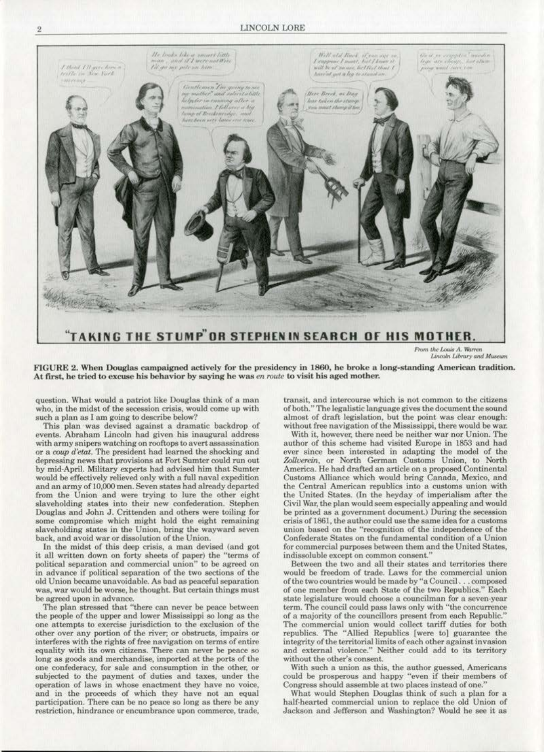## **LINCOLN LORE**



From the Louis A. Warren Lincoln Library and Museum

FIGURE 2. When Douglas campaigned actively for the presidency in 1860, he broke a long-standing American tradition. At first, he tried to excuse his behavior by saying he was en route to visit his aged mother.

question. What would a patriot like Douglas think of a man who, in the midst of the secession crisis, would come up with such a plan as I am going to describe below?

This plan was devised against a dramatic backdrop of events. Abraham Lincoln had given his inaugural address with army snipers watching on rooftops to avert assassination or a coup d'etat. The president had learned the shocking and depressing news that provisions at Fort Sumter could run out by mid-April. Military experts had advised him that Sumter would be effectively relieved only with a full naval expedition and an army of 10,000 men. Seven states had already departed from the Union and were trying to lure the other eight slaveholding states into their new confederation. Stephen Douglas and John J. Crittenden and others were toiling for some compromise which might hold the eight remaining slaveholding states in the Union, bring the wayward seven back, and avoid war or dissolution of the Union.

In the midst of this deep crisis, a man devised (and got it all written down on forty sheets of paper) the "terms of political separation and commercial union" to be agreed on in advance if political separation of the two sections of the old Union became unavoidable. As bad as peaceful separation was, war would be worse, he thought. But certain things must be agreed upon in advance.

The plan stressed that "there can never be peace between the people of the upper and lower Mississippi so long as the one attempts to exercise jurisdiction to the exclusion of the other over any portion of the river; or obstructs, impairs or interferes with the rights of free navigation on terms of entire equality with its own citizens. There can never be peace so long as goods and merchandise, imported at the ports of the one confederacy, for sale and consumption in the other, or subjected to the payment of duties and taxes, under the operation of laws in whose enactment they have no voice, and in the proceeds of which they have not an equal participation. There can be no peace so long as there be any restriction, hindrance or encumbrance upon commerce, trade,

transit, and intercourse which is not common to the citizens of both." The legalistic language gives the document the sound almost of draft legislation, but the point was clear enough: without free navigation of the Mississippi, there would be war.

With it, however, there need be neither war nor Union. The author of this scheme had visited Europe in 1853 and had ever since been interested in adapting the model of the Zollverein, or North German Customs Union, to North America. He had drafted an article on a proposed Continental Customs Alliance which would bring Canada, Mexico, and the Central American republics into a customs union with the United States. (In the heyday of imperialism after the Civil War, the plan would seem especially appealing and would be printed as a government document.) During the secession crisis of 1861, the author could use the same idea for a customs union based on the "recognition of the independence of the Confederate States on the fundamental condition of a Union for commercial purposes between them and the United States, indissoluble except on common consent."

Between the two and all their states and territories there would be freedom of trade. Laws for the commercial union of the two countries would be made by "a Council. . . composed of one member from each State of the two Republics." Each state legislature would choose a councilman for a seven-year term. The council could pass laws only with "the concurrence of a majority of the councillors present from each Republic." The commercial union would collect tariff duties for both republics. The "Allied Republics [were to] guarantee the integrity of the territorial limits of each other against invasion and external violence." Neither could add to its territory without the other's consent.

With such a union as this, the author guessed, Americans could be prosperous and happy "even if their members of Congress should assemble at two places instead of one."

What would Stephen Douglas think of such a plan for a half-hearted commercial union to replace the old Union of Jackson and Jefferson and Washington? Would he see it as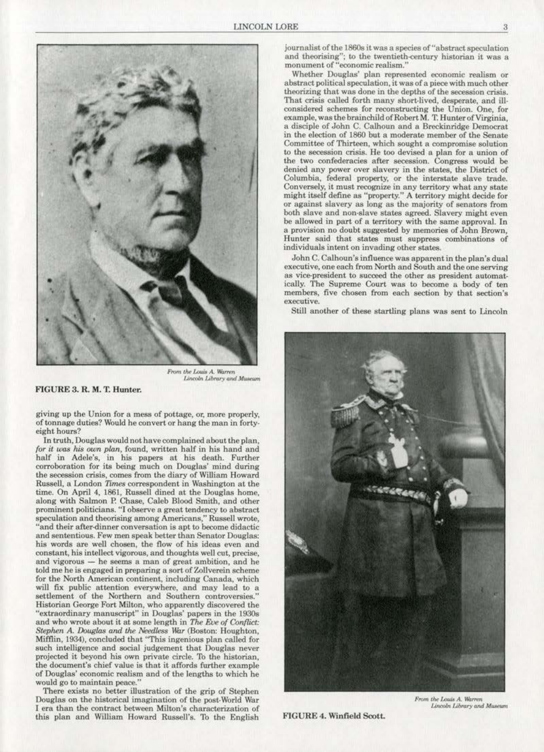

From the Louis A. Warren *Lincoln Library* and Museum

FIGURE 3. R. M. T. Hunter.

giving up the Union for a mess of pottage, or, more properly, of tonnage duties? Would he convert or hang the man in fortyeight hours?

In truth, Douglas would not have complained about the plan, for it was his own plan, found, written half in his hand and half in Adele's, in his papers at his death. Further corroboration for its being much on Douglas' mind during the secession crisis, comes from the diary of William Howard Russell, a London Times correspondent in Washington at the time. On April 4, 1861, Russell dined at the Douglas home, along with Salmon P. Chase, Caleb Blood Smith, and other prominent politicians. ''1 observe a great tendency to abstract. speculation and theorising among Americans," Russell wrote, "and their after-dinner conversation is apt to become didactic and sententious. Few men speak better than Senator Douglas: his words are well chosen, the flow of his ideas even and constant, his intellect vigorous, and thoughts well cut, precise, and vigorous - he seems a man of great ambition, and he told me he is engaged in preparing a sort of Zollverein scheme for the North American continent, including Canada, which will fix public attention everywhere, and may lead to a settlement of the Northern and Southern controversies." Historian George Fort Milton, who apparently discovered the "extraordinary manuscript" in Douglas' papers in the 1930s and who wrote about it at some length in The Eve of Conflict: Stephen A. *Douglas and the Needless War* (Boston: Houghton, Mifflin, 1934), concluded that "This ingenious plan called for such intelligence and social judgement that Douglas never projected it beyond his own private circle.. To the historian. the document's chief value is that it affords further example of Douglas' economic realism and of the lengths to which he would go to maintain peace."

There exists no better illustration of the grip of Stephen Douglas on the historical imagination of the post> World War I era than the contract between Milton's characterization of this plan and William Howard Russell's. To the English

journalist of the 1860s it was a species of "abstract speculation and theorising"; to the twentieth-century historian it was a monument of "economic realism."<br>Whether Douglas' plan represented economic realism or

abstract political speculation, it was of a piece with much other theorizing that was done in the depths of the secession crisis. That crisis called forth many short-lived, desperate, and ill-considered schemes for reconstructing the Union. One, for example, was the brainchild of Robert M. T. Hunter of Virginia, a disciple of John C. Calhoun and a Breckinridge Democrat in the election of 1860 but a moderate member of the Senate Committee of Thirteen, which sought a compromise solution to the secession crisis. He too devised a plan for a union of the two confederacies after secession. Congress would be denied any power over slavery in the states, the District of Columbia, federal property, or the interstate slave trade. Conversely, it must recognize *in* any territory what any state might itself define as "property." A territory might decide for<br>or against slavery as long as the majority of senators from both slave and non-slave states agreed. Slavery might even be allowed in part of a territory with the same approval. In a provision no doubt suggested by memories of John Brown, Hunter said that states must suppress combinations of individuals intent on invading other states.

John C. Calhoun's influence was apparent in the plan's dual as vice-president to succeed the other as president automatically. The Supreme Court was to become a body of ten members, five chosen from each section by that section's executive.

Still another of these startling plans was sent to Lincoln



FIGURE 4. Winfield Soott.